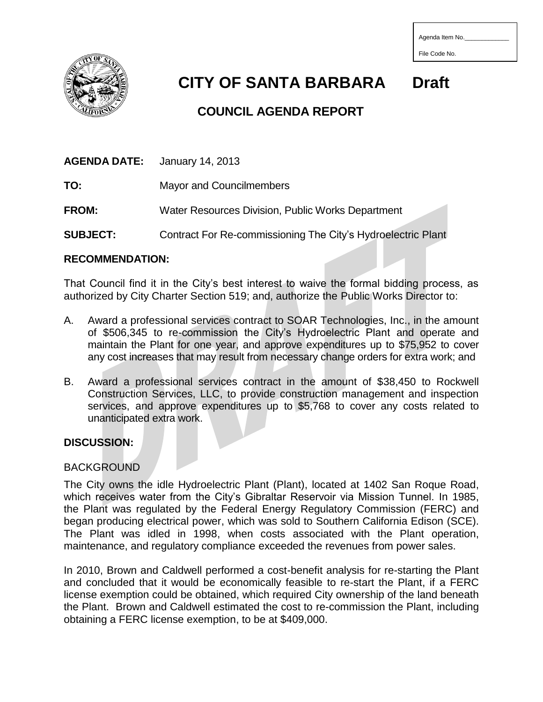| Agenda Item No. |  |
|-----------------|--|
|                 |  |
| File Code No.   |  |



# **CITY OF SANTA BARBARA Draft**

## **COUNCIL AGENDA REPORT**

**AGENDA DATE:** January 14, 2013

**TO:** Mayor and Councilmembers

**FROM:** Water Resources Division, Public Works Department

**SUBJECT:** Contract For Re-commissioning The City's Hydroelectric Plant

#### **RECOMMENDATION:**

That Council find it in the City's best interest to waive the formal bidding process, as authorized by City Charter Section 519; and, authorize the Public Works Director to:

- A. Award a professional services contract to SOAR Technologies, Inc., in the amount of \$506,345 to re-commission the City's Hydroelectric Plant and operate and maintain the Plant for one year, and approve expenditures up to \$75,952 to cover any cost increases that may result from necessary change orders for extra work; and
- B. Award a professional services contract in the amount of \$38,450 to Rockwell Construction Services, LLC, to provide construction management and inspection services, and approve expenditures up to \$5,768 to cover any costs related to unanticipated extra work.

#### **DISCUSSION:**

#### BACKGROUND

The City owns the idle Hydroelectric Plant (Plant), located at 1402 San Roque Road, which receives water from the City's Gibraltar Reservoir via Mission Tunnel. In 1985, the Plant was regulated by the Federal Energy Regulatory Commission (FERC) and began producing electrical power, which was sold to Southern California Edison (SCE). The Plant was idled in 1998, when costs associated with the Plant operation, maintenance, and regulatory compliance exceeded the revenues from power sales.

In 2010, Brown and Caldwell performed a cost-benefit analysis for re-starting the Plant and concluded that it would be economically feasible to re-start the Plant, if a FERC license exemption could be obtained, which required City ownership of the land beneath the Plant. Brown and Caldwell estimated the cost to re-commission the Plant, including obtaining a FERC license exemption, to be at \$409,000.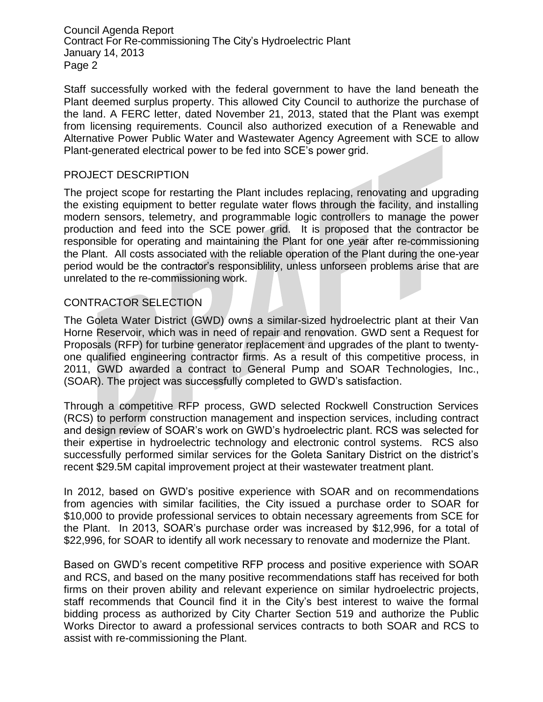Council Agenda Report Contract For Re-commissioning The City's Hydroelectric Plant January 14, 2013 Page 2

Staff successfully worked with the federal government to have the land beneath the Plant deemed surplus property. This allowed City Council to authorize the purchase of the land. A FERC letter, dated November 21, 2013, stated that the Plant was exempt from licensing requirements. Council also authorized execution of a Renewable and Alternative Power Public Water and Wastewater Agency Agreement with SCE to allow Plant-generated electrical power to be fed into SCE's power grid.

#### PROJECT DESCRIPTION

The project scope for restarting the Plant includes replacing, renovating and upgrading the existing equipment to better regulate water flows through the facility, and installing modern sensors, telemetry, and programmable logic controllers to manage the power production and feed into the SCE power grid. It is proposed that the contractor be responsible for operating and maintaining the Plant for one year after re-commissioning the Plant. All costs associated with the reliable operation of the Plant during the one-year period would be the contractor's responsiblility, unless unforseen problems arise that are unrelated to the re-commissioning work.

#### CONTRACTOR SELECTION

The Goleta Water District (GWD) owns a similar-sized hydroelectric plant at their Van Horne Reservoir, which was in need of repair and renovation. GWD sent a Request for Proposals (RFP) for turbine generator replacement and upgrades of the plant to twentyone qualified engineering contractor firms. As a result of this competitive process, in 2011, GWD awarded a contract to General Pump and SOAR Technologies, Inc., (SOAR). The project was successfully completed to GWD's satisfaction.

Through a competitive RFP process, GWD selected Rockwell Construction Services (RCS) to perform construction management and inspection services, including contract and design review of SOAR's work on GWD's hydroelectric plant. RCS was selected for their expertise in hydroelectric technology and electronic control systems. RCS also successfully performed similar services for the Goleta Sanitary District on the district's recent \$29.5M capital improvement project at their wastewater treatment plant.

In 2012, based on GWD's positive experience with SOAR and on recommendations from agencies with similar facilities, the City issued a purchase order to SOAR for \$10,000 to provide professional services to obtain necessary agreements from SCE for the Plant. In 2013, SOAR's purchase order was increased by \$12,996, for a total of \$22,996, for SOAR to identify all work necessary to renovate and modernize the Plant.

Based on GWD's recent competitive RFP process and positive experience with SOAR and RCS, and based on the many positive recommendations staff has received for both firms on their proven ability and relevant experience on similar hydroelectric projects, staff recommends that Council find it in the City's best interest to waive the formal bidding process as authorized by City Charter Section 519 and authorize the Public Works Director to award a professional services contracts to both SOAR and RCS to assist with re-commissioning the Plant.